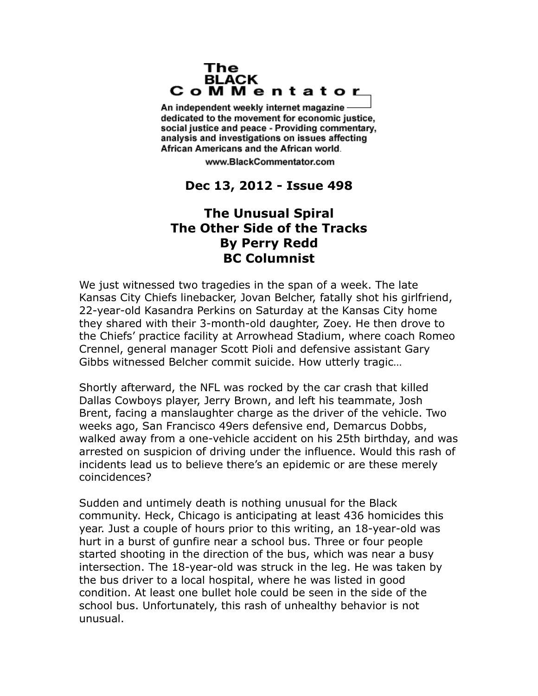## The **BLACK** CoMMentator

An independent weekly internet magazine dedicated to the movement for economic justice. social justice and peace - Providing commentary, analysis and investigations on issues affecting African Americans and the African world.

www.BlackCommentator.com

## **Dec 13, 2012 - Issue 498**

## **The Unusual Spiral The Other Side of the Tracks By Perry Redd BC Columnist**

We just witnessed two tragedies in the span of a week. The late Kansas City Chiefs linebacker, Jovan Belcher, fatally shot his girlfriend, 22-year-old Kasandra Perkins on Saturday at the Kansas City home they shared with their 3-month-old daughter, Zoey. He then drove to the Chiefs' practice facility at Arrowhead Stadium, where coach Romeo Crennel, general manager Scott Pioli and defensive assistant Gary Gibbs witnessed Belcher commit suicide. How utterly tragic…

Shortly afterward, the NFL was rocked by the car crash that killed Dallas Cowboys player, Jerry Brown, and left his teammate, Josh Brent, facing a manslaughter charge as the driver of the vehicle. Two weeks ago, San Francisco 49ers defensive end, Demarcus Dobbs, walked away from a one-vehicle accident on his 25th birthday, and was arrested on suspicion of driving under the influence. Would this rash of incidents lead us to believe there's an epidemic or are these merely coincidences?

Sudden and untimely death is nothing unusual for the Black community. Heck, Chicago is anticipating at least 436 homicides this year. Just a couple of hours prior to this writing, an 18-year-old was hurt in a burst of gunfire near a school bus. Three or four people started shooting in the direction of the bus, which was near a busy intersection. The 18-year-old was struck in the leg. He was taken by the bus driver to a local hospital, where he was listed in good condition. At least one bullet hole could be seen in the side of the school bus. Unfortunately, this rash of unhealthy behavior is not unusual.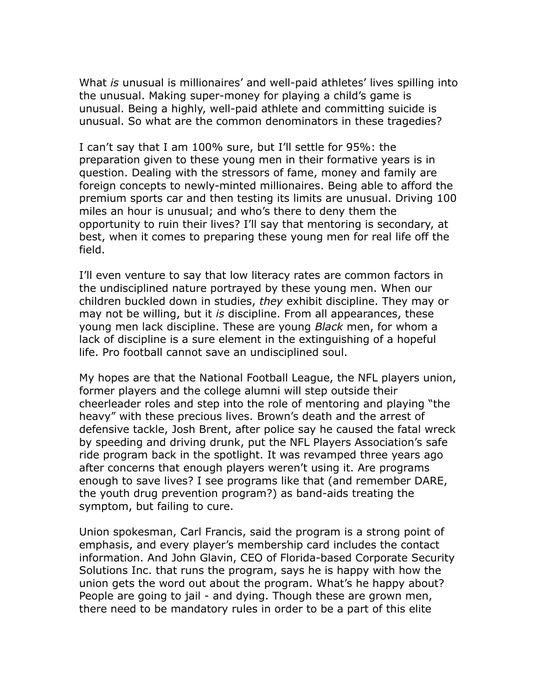What *is* unusual is millionaires' and well-paid athletes' lives spilling into the unusual. Making super-money for playing a child's game is unusual. Being a highly, well-paid athlete and committing suicide is unusual. So what are the common denominators in these tragedies?

I can't say that I am 100% sure, but I'll settle for 95%: the preparation given to these young men in their formative years is in question. Dealing with the stressors of fame, money and family are foreign concepts to newly-minted millionaires. Being able to afford the premium sports car and then testing its limits are unusual. Driving 100 miles an hour is unusual; and who's there to deny them the opportunity to ruin their lives? I'll say that mentoring is secondary, at best, when it comes to preparing these young men for real life off the field.

I'll even venture to say that low literacy rates are common factors in the undisciplined nature portrayed by these young men. When our children buckled down in studies, *they* exhibit discipline. They may or may not be willing, but it *is* discipline. From all appearances, these young men lack discipline. These are young *Black* men, for whom a lack of discipline is a sure element in the extinguishing of a hopeful life. Pro football cannot save an undisciplined soul.

My hopes are that the National Football League, the NFL players union, former players and the college alumni will step outside their cheerleader roles and step into the role of mentoring and playing "the heavy" with these precious lives. Brown's death and the arrest of defensive tackle, Josh Brent, after police say he caused the fatal wreck by speeding and driving drunk, put the NFL Players Association's safe ride program back in the spotlight. It was revamped three years ago after concerns that enough players weren't using it. Are programs enough to save lives? I see programs like that (and remember DARE, the youth drug prevention program?) as band-aids treating the symptom, but failing to cure.

Union spokesman, Carl Francis, said the program is a strong point of emphasis, and every player's membership card includes the contact information. And John Glavin, CEO of Florida-based Corporate Security Solutions Inc. that runs the program, says he is happy with how the union gets the word out about the program. What's he happy about? People are going to jail - and dying. Though these are grown men, there need to be mandatory rules in order to be a part of this elite